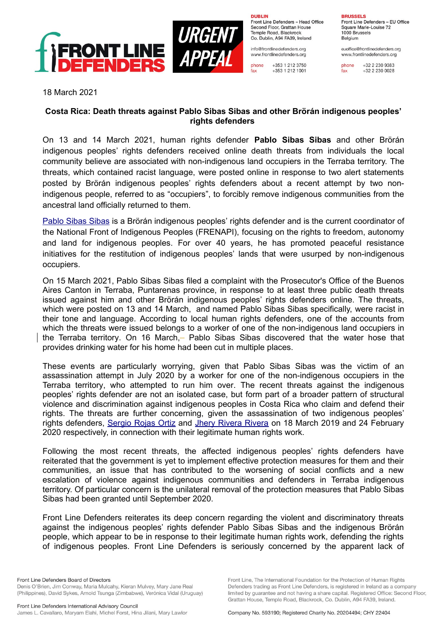

**DURLIN** Front Line Defenders - Head Office Second Floor, Grattan House Temple Boad, Blackrock

Co. Dublin, A94 FA39, Ireland info@frontlinedefenders.org www.frontlinedefenders.org

+353 1 212 3750 phone fax +353 1 212 1001

**BDHCCELC** 

Front Line Defenders - EU Office Square Marie-Louise 72 1000 Brussels Belgium

euoffice@frontlinedefenders.org www.frontlinedefenders.org

phone +32 2 230 9383 fax  $+3222300028$ 

18 March 2021

## **Costa Rica: Death threats against Pablo Sibas Sibas and other Brörán indigenous peoples' rights defenders**

On 13 and 14 March 2021, human rights defender **Pablo Sibas Sibas** and other Brörán indigenous peoples' rights defenders received online death threats from individuals the local community believe are associated with non-indigenous land occupiers in the Terraba territory. The threats, which contained racist language, were posted online in response to two alert statements posted by Brörán indigenous peoples' rights defenders about a recent attempt by two nonindigenous people, referred to as "occupiers", to forcibly remove indigenous communities from the ancestral land officially returned to them.

[Pablo Sibas Sibas](https://www.frontlinedefenders.org/en/profile/pablo-sibar-sibar) is a Brörán indigenous peoples' rights defender and is the current coordinator of the National Front of Indigenous Peoples (FRENAPI), focusing on the rights to freedom, autonomy and land for indigenous peoples. For over 40 years, he has promoted peaceful resistance initiatives for the restitution of indigenous peoples' lands that were usurped by non-indigenous occupiers.

On 15 March 2021, Pablo Sibas Sibas filed a complaint with the Prosecutor's Office of the Buenos Aires Canton in Terraba, Puntarenas province, in response to at least three public death threats issued against him and other Brörán indigenous peoples' rights defenders online. The threats, which were posted on 13 and 14 March, and named Pablo Sibas Sibas specifically, were racist in their tone and language. According to local human rights defenders, one of the accounts from which the threats were issued belongs to a worker of one of the non-indigenous land occupiers in the Terraba territory. On 16 March, - Pablo Sibas Sibas discovered that the water hose that provides drinking water for his home had been cut in multiple places.

These events are particularly worrying, given that Pablo Sibas Sibas was the victim of an assassination attempt in July 2020 by a worker for one of the non-indigenous occupiers in the Terraba territory, who attempted to run him over. The recent threats against the indigenous peoples' rights defender are not an isolated case, but form part of a broader pattern of structural violence and discrimination against indigenous peoples in Costa Rica who claim and defend their rights. The threats are further concerning, given the assassination of two indigenous peoples' rights defenders, [Sergio Rojas Ortiz](https://hrdmemorial.org/?hrdrecord=sergio-rojas-ortiz) and [Jhery Rivera Rivera](https://www.business-humanrights.org/en/latest-news/costa-rica-asesinan-a-jhery-rivera-defensor-ind%C3%ADgena-ambiental-en-conflicto-sobre-tierras-ancestrales/) on 18 March 2019 and 24 February 2020 respectively, in connection with their legitimate human rights work.

Following the most recent threats, the affected indigenous peoples' rights defenders have reiterated that the government is yet to implement effective protection measures for them and their communities, an issue that has contributed to the worsening of social conflicts and a new escalation of violence against indigenous communities and defenders in Terraba indigenous territory. Of particular concern is the unilateral removal of the protection measures that Pablo Sibas Sibas had been granted until September 2020.

Front Line Defenders reiterates its deep concern regarding the violent and discriminatory threats against the indigenous peoples' rights defender Pablo Sibas Sibas and the indigenous Brörán people, which appear to be in response to their legitimate human rights work, defending the rights of indigenous peoples. Front Line Defenders is seriously concerned by the apparent lack of

Front Line Defenders Board of Directors Denis O'Brien, Jim Conway, Maria Mulcahy, Kieran Mulvey, Mary Jane Real (Philippines), David Sykes, Arnold Tsunga (Zimbabwe), Verónica Vidal (Uruguay)